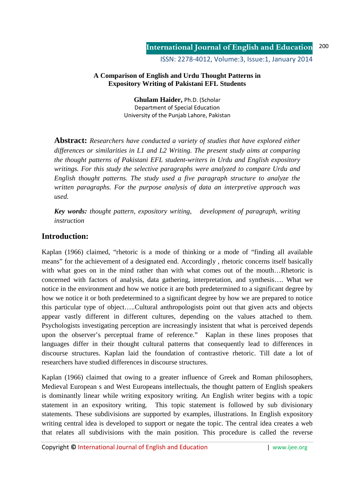ISSN: 2278-4012, Volume:3, Issue:1, January 2014

### **A Comparison of English and Urdu Thought Patterns in Expository Writing of Pakistani EFL Students**

**Ghulam Haider,** Ph.D. (Scholar Department of Special Education University of the Punjab Lahore, Pakistan

**Abstract:** *Researchers have conducted a variety of studies that have explored either differences or similarities in L1 and L2 Writing. The present study aims at comparing the thought patterns of Pakistani EFL student-writers in Urdu and English expository writings. For this study the selective paragraphs were analyzed to compare Urdu and English thought patterns. The study used a five paragraph structure to analyze the written paragraphs. For the purpose analysis of data an interpretive approach was used.* 

*Key words: thought pattern, expository writing, development of paragraph, writing instruction*

# **Introduction:**

Kaplan (1966) claimed, "rhetoric is a mode of thinking or a mode of "finding all available means" for the achievement of a designated end. Accordingly , rhetoric concerns itself basically with what goes on in the mind rather than with what comes out of the mouth...Rhetoric is concerned with factors of analysis, data gathering, interpretation, and synthesis…. What we notice in the environment and how we notice it are both predetermined to a significant degree by how we notice it or both predetermined to a significant degree by how we are prepared to notice this particular type of object…..Cultural anthropologists point out that given acts and objects appear vastly different in different cultures, depending on the values attached to them. Psychologists investigating perception are increasingly insistent that what is perceived depends upon the observer's perceptual frame of reference." Kaplan in these lines proposes that languages differ in their thought cultural patterns that consequently lead to differences in discourse structures. Kaplan laid the foundation of contrastive rhetoric. Till date a lot of researchers have studied differences in discourse structures.

Kaplan (1966) claimed that owing to a greater influence of Greek and Roman philosophers, Medieval European s and West Europeans intellectuals, the thought pattern of English speakers is dominantly linear while writing expository writing. An English writer begins with a topic statement in an expository writing. This topic statement is followed by sub divisionary statements. These subdivisions are supported by examples, illustrations. In English expository writing central idea is developed to support or negate the topic. The central idea creates a web that relates all subdivisions with the main position. This procedure is called the reverse

Copyright **©** International Journal of English and Education | www.ijee.org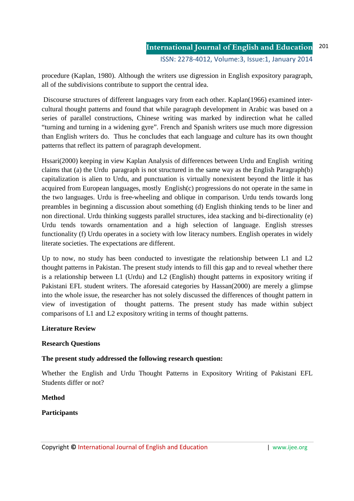procedure (Kaplan, 1980). Although the writers use digression in English expository paragraph, all of the subdivisions contribute to support the central idea.

 Discourse structures of different languages vary from each other. Kaplan(1966) examined intercultural thought patterns and found that while paragraph development in Arabic was based on a series of parallel constructions, Chinese writing was marked by indirection what he called "turning and turning in a widening gyre". French and Spanish writers use much more digression than English writers do. Thus he concludes that each language and culture has its own thought patterns that reflect its pattern of paragraph development.

Hssari(2000) keeping in view Kaplan Analysis of differences between Urdu and English writing claims that (a) the Urdu paragraph is not structured in the same way as the English Paragraph(b) capitalization is alien to Urdu, and punctuation is virtually nonexistent beyond the little it has acquired from European languages, mostly English(c) progressions do not operate in the same in the two languages. Urdu is free-wheeling and oblique in comparison. Urdu tends towards long preambles in beginning a discussion about something (d) English thinking tends to be liner and non directional. Urdu thinking suggests parallel structures, idea stacking and bi-directionality (e) Urdu tends towards ornamentation and a high selection of language. English stresses functionality (f) Urdu operates in a society with low literacy numbers. English operates in widely literate societies. The expectations are different.

Up to now, no study has been conducted to investigate the relationship between L1 and L2 thought patterns in Pakistan. The present study intends to fill this gap and to reveal whether there is a relationship between L1 (Urdu) and L2 (English) thought patterns in expository writing if Pakistani EFL student writers. The aforesaid categories by Hassan(2000) are merely a glimpse into the whole issue, the researcher has not solely discussed the differences of thought pattern in view of investigation of thought patterns. The present study has made within subject comparisons of L1 and L2 expository writing in terms of thought patterns.

### **Literature Review**

### **Research Questions**

### **The present study addressed the following research question:**

Whether the English and Urdu Thought Patterns in Expository Writing of Pakistani EFL Students differ or not?

#### **Method**

### **Participants**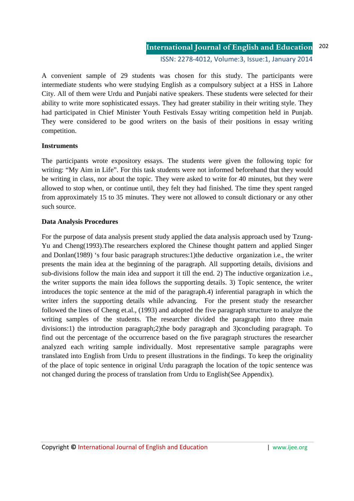ISSN: 2278-4012, Volume:3, Issue:1, January 2014

A convenient sample of 29 students was chosen for this study. The participants were intermediate students who were studying English as a compulsory subject at a HSS in Lahore City. All of them were Urdu and Punjabi native speakers. These students were selected for their ability to write more sophisticated essays. They had greater stability in their writing style. They had participated in Chief Minister Youth Festivals Essay writing competition held in Punjab. They were considered to be good writers on the basis of their positions in essay writing competition.

#### **Instruments**

The participants wrote expository essays. The students were given the following topic for writing: "My Aim in Life". For this task students were not informed beforehand that they would be writing in class, nor about the topic. They were asked to write for 40 minutes, but they were allowed to stop when, or continue until, they felt they had finished. The time they spent ranged from approximately 15 to 35 minutes. They were not allowed to consult dictionary or any other such source.

#### **Data Analysis Procedures**

For the purpose of data analysis present study applied the data analysis approach used by Tzung-Yu and Cheng(1993).The researchers explored the Chinese thought pattern and applied Singer and Donlan(1989) 's four basic paragraph structures:1)the deductive organization i.e., the writer presents the main idea at the beginning of the paragraph. All supporting details, divisions and sub-divisions follow the main idea and support it till the end. 2) The inductive organization i.e., the writer supports the main idea follows the supporting details. 3) Topic sentence, the writer introduces the topic sentence at the mid of the paragraph.4) inferential paragraph in which the writer infers the supporting details while advancing. For the present study the researcher followed the lines of Cheng et.al., (1993) and adopted the five paragraph structure to analyze the writing samples of the students. The researcher divided the paragraph into three main divisions:1) the introduction paragraph;2)the body paragraph and 3)concluding paragraph. To find out the percentage of the occurrence based on the five paragraph structures the researcher analyzed each writing sample individually. Most representative sample paragraphs were translated into English from Urdu to present illustrations in the findings. To keep the originality of the place of topic sentence in original Urdu paragraph the location of the topic sentence was not changed during the process of translation from Urdu to English(See Appendix).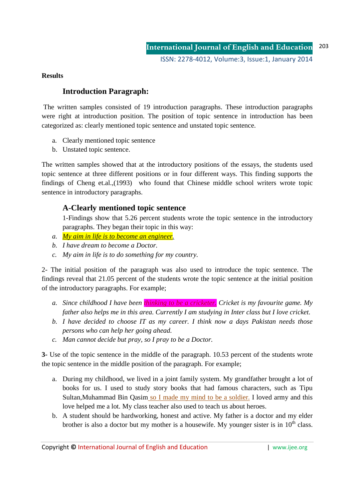**Results** 

# **Introduction Paragraph:**

 The written samples consisted of 19 introduction paragraphs. These introduction paragraphs were right at introduction position. The position of topic sentence in introduction has been categorized as: clearly mentioned topic sentence and unstated topic sentence.

- a. Clearly mentioned topic sentence
- b. Unstated topic sentence.

The written samples showed that at the introductory positions of the essays, the students used topic sentence at three different positions or in four different ways. This finding supports the findings of Cheng et.al.,(1993) who found that Chinese middle school writers wrote topic sentence in introductory paragraphs.

# **A-Clearly mentioned topic sentence**

1-Findings show that 5.26 percent students wrote the topic sentence in the introductory paragraphs. They began their topic in this way:

- *a. My aim in life is to become an engineer.*
- *b. I have dream to become a Doctor.*
- *c. My aim in life is to do something for my country.*

2- The initial position of the paragraph was also used to introduce the topic sentence. The findings reveal that 21.05 percent of the students wrote the topic sentence at the initial position of the introductory paragraphs. For example;

- *a. Since childhood I have been thinking to be a cricketer. Cricket is my favourite game. My father also helps me in this area. Currently I am studying in Inter class but I love cricket.*
- *b. I have decided to choose IT as my career. I think now a days Pakistan needs those persons who can help her going ahead.*
- *c. Man cannot decide but pray, so I pray to be a Doctor.*

**3-** Use of the topic sentence in the middle of the paragraph. 10.53 percent of the students wrote the topic sentence in the middle position of the paragraph. For example;

- a. During my childhood, we lived in a joint family system. My grandfather brought a lot of books for us. I used to study story books that had famous characters, such as Tipu Sultan,Muhammad Bin Qasim so I made my mind to be a soldier. I loved army and this love helped me a lot. My class teacher also used to teach us about heroes.
- b. A student should be hardworking, honest and active. My father is a doctor and my elder brother is also a doctor but my mother is a housewife. My younger sister is in  $10<sup>th</sup>$  class.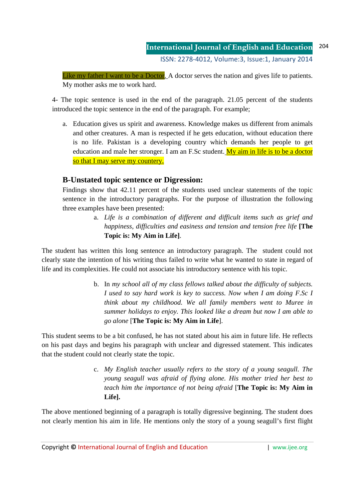#### **International Journal of English and Education** ISSN: 2278-4012, Volume:3, Issue:1, January 2014 204

Like my father I want to be a Doctor. A doctor serves the nation and gives life to patients. My mother asks me to work hard.

4- The topic sentence is used in the end of the paragraph. 21.05 percent of the students introduced the topic sentence in the end of the paragraph. For example;

a. Education gives us spirit and awareness. Knowledge makes us different from animals and other creatures. A man is respected if he gets education, without education there is no life. Pakistan is a developing country which demands her people to get education and male her stronger. I am an F.Sc student.  $My$  aim in life is to be a doctor so that I may serve my countery.

### **B-Unstated topic sentence or Digression:**

Findings show that 42.11 percent of the students used unclear statements of the topic sentence in the introductory paragraphs. For the purpose of illustration the following three examples have been presented:

> a. *Life is a combination of different and difficult items such as grief and happiness, difficulties and easiness and tension and tension free life* **[The Topic is: My Aim in Life]**.

The student has written this long sentence an introductory paragraph. The student could not clearly state the intention of his writing thus failed to write what he wanted to state in regard of life and its complexities. He could not associate his introductory sentence with his topic.

> b. In *my school all of my class fellows talked about the difficulty of subjects. I used to say hard work is key to success. Now when I am doing F.Sc I think about my childhood. We all family members went to Muree in summer holidays to enjoy. This looked like a dream but now I am able to go alone* [**The Topic is: My Aim in Life**].

This student seems to be a bit confused, he has not stated about his aim in future life. He reflects on his past days and begins his paragraph with unclear and digressed statement. This indicates that the student could not clearly state the topic.

> c. *My English teacher usually refers to the story of a young seagull. The young seagull was afraid of flying alone. His mother tried her best to teach him the importance of not being afraid* [**The Topic is: My Aim in Life].**

The above mentioned beginning of a paragraph is totally digressive beginning. The student does not clearly mention his aim in life. He mentions only the story of a young seagull's first flight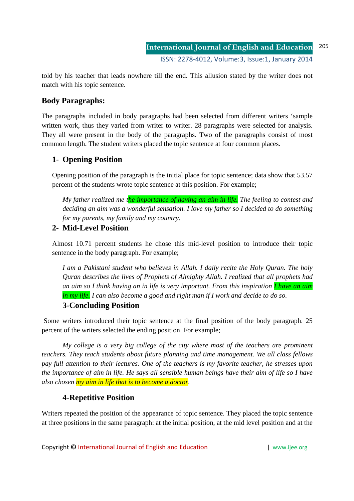told by his teacher that leads nowhere till the end. This allusion stated by the writer does not match with his topic sentence.

# **Body Paragraphs:**

The paragraphs included in body paragraphs had been selected from different writers 'sample written work, thus they varied from writer to writer. 28 paragraphs were selected for analysis. They all were present in the body of the paragraphs. Two of the paragraphs consist of most common length. The student writers placed the topic sentence at four common places.

# **1- Opening Position**

Opening position of the paragraph is the initial place for topic sentence; data show that 53.57 percent of the students wrote topic sentence at this position. For example;

*My father realized me the importance of having an aim in life. The feeling to contest and deciding an aim was a wonderful sensation. I love my father so I decided to do something for my parents, my family and my country.* 

# **2- Mid-Level Position**

Almost 10.71 percent students he chose this mid-level position to introduce their topic sentence in the body paragraph. For example;

*I am a Pakistani student who believes in Allah. I daily recite the Holy Quran. The holy Quran describes the lives of Prophets of Almighty Allah. I realized that all prophets had an aim so I think having an in life is very important. From this inspiration I have an aim in my life. I can also become a good and right man if I work and decide to do so.* 

# **3-Concluding Position**

Some writers introduced their topic sentence at the final position of the body paragraph. 25 percent of the writers selected the ending position. For example;

*My college is a very big college of the city where most of the teachers are prominent teachers. They teach students about future planning and time management. We all class fellows pay full attention to their lectures. One of the teachers is my favorite teacher, he stresses upon the importance of aim in life. He says all sensible human beings have their aim of life so I have also chosen my aim in life that is to become a doctor.* 

# **4-Repetitive Position**

Writers repeated the position of the appearance of topic sentence. They placed the topic sentence at three positions in the same paragraph: at the initial position, at the mid level position and at the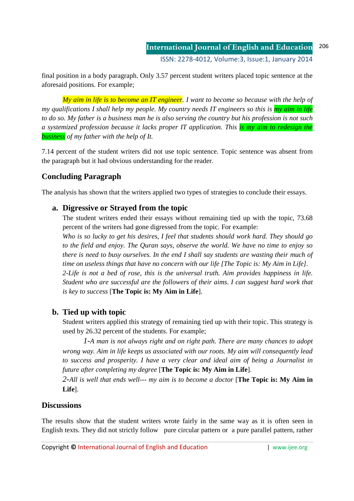final position in a body paragraph. Only 3.57 percent student writers placed topic sentence at the aforesaid positions. For example;

*My aim in life is to become an IT engineer. I want to become so because with the help of my qualifications I shall help my people. My country needs IT engineers so this is my aim in life to do so. My father is a business man he is also serving the country but his profession is not such a systemized profession because it lacks proper IT application. This is my aim to redesign the business of my father with the help of It.* 

7.14 percent of the student writers did not use topic sentence. Topic sentence was absent from the paragraph but it had obvious understanding for the reader.

# **Concluding Paragraph**

The analysis has shown that the writers applied two types of strategies to conclude their essays.

### **a. Digressive or Strayed from the topic**

The student writers ended their essays without remaining tied up with the topic, 73.68 percent of the writers had gone digressed from the topic. For example:

*Who is so lucky to get his desires, I feel that students should work hard. They should go to the field and enjoy. The Quran says, observe the world. We have no time to enjoy so there is need to busy ourselves. In the end I shall say students are wasting their much of time on useless things that have no concern with our life [The Topic is: My Aim in Life]. 2-Life is not a bed of rose, this is the universal truth. Aim provides happiness in life. Student who are successful are the followers of their aims. I can suggest hard work that is key to success* [**The Topic is: My Aim in Life**].

# **b. Tied up with topic**

Student writers applied this strategy of remaining tied up with their topic. This strategy is used by 26.32 percent of the students. For example;

 *1-A man is not always right and on right path. There are many chances to adopt wrong way. Aim in life keeps us associated with our roots. My aim will consequently lead to success and prosperity. I have a very clear and ideal aim of being a Journalist in future after completing my degree* [**The Topic is: My Aim in Life**].

*2-All is well that ends well--- my aim is to become a doctor* [**The Topic is: My Aim in Life**].

### **Discussions**

The results show that the student writers wrote fairly in the same way as it is often seen in English texts. They did not strictly follow pure circular pattern or a pure parallel pattern, rather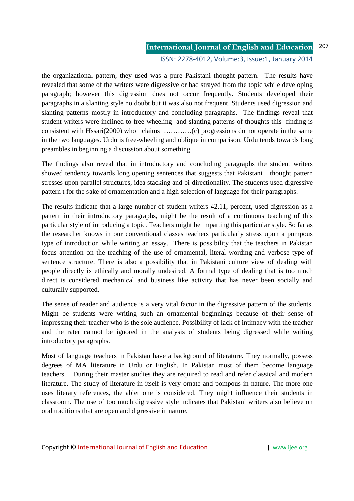ISSN: 2278-4012, Volume:3, Issue:1, January 2014

the organizational pattern, they used was a pure Pakistani thought pattern. The results have revealed that some of the writers were digressive or had strayed from the topic while developing paragraph; however this digression does not occur frequently. Students developed their paragraphs in a slanting style no doubt but it was also not frequent. Students used digression and slanting patterns mostly in introductory and concluding paragraphs. The findings reveal that student writers were inclined to free-wheeling and slanting patterns of thoughts this finding is consistent with Hssari(2000) who claims …………(c) progressions do not operate in the same in the two languages. Urdu is free-wheeling and oblique in comparison. Urdu tends towards long preambles in beginning a discussion about something.

The findings also reveal that in introductory and concluding paragraphs the student writers showed tendency towards long opening sentences that suggests that Pakistani thought pattern stresses upon parallel structures, idea stacking and bi-directionality. The students used digressive pattern t for the sake of ornamentation and a high selection of language for their paragraphs.

The results indicate that a large number of student writers 42.11, percent, used digression as a pattern in their introductory paragraphs, might be the result of a continuous teaching of this particular style of introducing a topic. Teachers might be imparting this particular style. So far as the researcher knows in our conventional classes teachers particularly stress upon a pompous type of introduction while writing an essay. There is possibility that the teachers in Pakistan focus attention on the teaching of the use of ornamental, literal wording and verbose type of sentence structure. There is also a possibility that in Pakistani culture view of dealing with people directly is ethically and morally undesired. A formal type of dealing that is too much direct is considered mechanical and business like activity that has never been socially and culturally supported.

The sense of reader and audience is a very vital factor in the digressive pattern of the students. Might be students were writing such an ornamental beginnings because of their sense of impressing their teacher who is the sole audience. Possibility of lack of intimacy with the teacher and the rater cannot be ignored in the analysis of students being digressed while writing introductory paragraphs.

Most of language teachers in Pakistan have a background of literature. They normally, possess degrees of MA literature in Urdu or English. In Pakistan most of them become language teachers. During their master studies they are required to read and refer classical and modern literature. The study of literature in itself is very ornate and pompous in nature. The more one uses literary references, the abler one is considered. They might influence their students in classroom. The use of too much digressive style indicates that Pakistani writers also believe on oral traditions that are open and digressive in nature.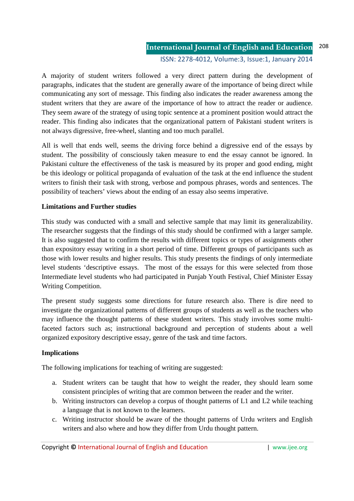**International Journal of English and Education** ISSN: 2278-4012, Volume:3, Issue:1, January 2014 208

A majority of student writers followed a very direct pattern during the development of paragraphs, indicates that the student are generally aware of the importance of being direct while communicating any sort of message. This finding also indicates the reader awareness among the student writers that they are aware of the importance of how to attract the reader or audience. They seem aware of the strategy of using topic sentence at a prominent position would attract the reader. This finding also indicates that the organizational pattern of Pakistani student writers is not always digressive, free-wheel, slanting and too much parallel.

All is well that ends well, seems the driving force behind a digressive end of the essays by student. The possibility of consciously taken measure to end the essay cannot be ignored. In Pakistani culture the effectiveness of the task is measured by its proper and good ending, might be this ideology or political propaganda of evaluation of the task at the end influence the student writers to finish their task with strong, verbose and pompous phrases, words and sentences. The possibility of teachers' views about the ending of an essay also seems imperative.

### **Limitations and Further studies**

This study was conducted with a small and selective sample that may limit its generalizability. The researcher suggests that the findings of this study should be confirmed with a larger sample. It is also suggested that to confirm the results with different topics or types of assignments other than expository essay writing in a short period of time. Different groups of participants such as those with lower results and higher results. This study presents the findings of only intermediate level students 'descriptive essays. The most of the essays for this were selected from those Intermediate level students who had participated in Punjab Youth Festival, Chief Minister Essay Writing Competition.

The present study suggests some directions for future research also. There is dire need to investigate the organizational patterns of different groups of students as well as the teachers who may influence the thought patterns of these student writers. This study involves some multifaceted factors such as; instructional background and perception of students about a well organized expository descriptive essay, genre of the task and time factors.

### **Implications**

The following implications for teaching of writing are suggested:

- a. Student writers can be taught that how to weight the reader, they should learn some consistent principles of writing that are common between the reader and the writer.
- b. Writing instructors can develop a corpus of thought patterns of L1 and L2 while teaching a language that is not known to the learners.
- c. Writing instructor should be aware of the thought patterns of Urdu writers and English writers and also where and how they differ from Urdu thought pattern.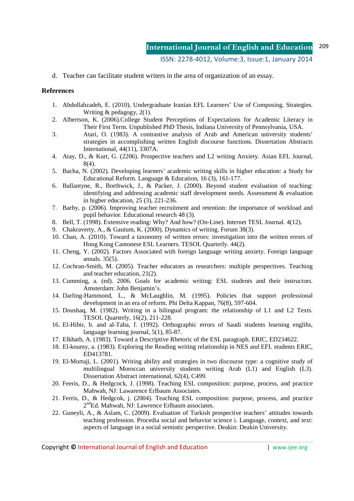#### ISSN: 2278-4012, Volume:3, Issue:1, January 2014

d. Teacher can facilitate student writers in the area of organization of an essay.

#### **References**

- 1. Abdollahzadeh, E. (2010). Undergraduate Iranian EFL Learners' Use of Composing. Strategies. Writing & pedagogy, 2(1).
- 2. Albertson, K. (2006).College Student Perceptions of Expectations for Academic Literacy in Their First Term. Unpublished PhD Thesis, Indiana University of Pennsylvania, USA.
- 3. Atari, O. (1983). A contrastive analysis of Arab and American university students' strategies in accomplishing written English discourse functions. Dissertation Abstracts International, 44(11), 3307A.
- 4. Atay, D., & Kurt, G. (2206). Prospective teachers and L2 writing Anxiety. Asian EFL Journal, 8(4).
- 5. Bacha, N. (2002). Developing learners' academic writing skills in higher education: a Study for Educational Reform. Language & Education, 16 (3), 161-177.
- 6. Ballantyne, R., Borthwick, J., & Packer, J. (2000). Beyond student evaluation of teaching: identifying and addressing academic staff development needs. Assessment & evaluation in higher education, 25 (3), 221-236.
- 7. Barby, p. (2006). Improving teacher recruitment and retention: the importance of workload and pupil behavior. Educational research 48 (3).
- 8. Bell, T. (1998). Extensive reading: Why? And how? (On-Line). Internet TESL Journal. 4(12).
- 9. Chakraverty, A., & Gautum, K. (2000). Dynamics of writing. Forum 38(3).
- 10. Chan, A. (2010). Toward a taxonomy of written errors: investigation into the written errors of Hong Kong Cantonese ESL Learners. TESOL Quarterly. 44(2).
- 11. Cheng, Y. (2002). Factors Associated with foreign language writing anxiety. Foreign language annals. 35(5).
- 12. Cochran-Smith, M. (2005). Teacher educators as researchers: multiple perspectives. Teaching and teacher education, 21(2).
- 13. Cumming, a. (ed). 2006. Goals for academic writing: ESL students and their instructors. Amsterdam: John Benjamin's.
- 14. Darling-Hammond, L., & McLaughlin, M. (1995). Policies that support professional development in an era of reform. Phi Delta Kappan, 76(8), 597-604.
- 15. Doushaq, M. (1982). Writing in a bilingual program: the relationship of L1 and L2 Texts. TESOL Quarterly, 16(2), 211-228.
- 16. El-Hibir, b. and al-Taha, f. (1992). Orthographic errors of Saudi students learning englihs, language learning journal, 5(1), 85-87.
- 17. Elkhatb, A. (1983). Toward a Descriptive Rhetoric of the ESL paragraph. ERIC, ED234622.
- 18. El-koumy, a. (1983). Exploring the Reading writing relationship in NES and EFL students ERIC, ED413781.
- 19. El-Mortaji, L. (2001). Writing ability and strategies in two discourse type: a cognitive study of multilingual Moroccan university students writing Arab (L1) and English (L3). Dissertation Abstract international, 62(4), C499.
- 20. Feeris, D., & Hedgcock, J. (1998). Teaching ESL composition: purpose, process, and practice Mahwah, NJ: Lawarence Erlbaum Associates.
- 21. Ferris, D., & Hedgcok, j. (2004). Teaching ESL composition: purpose, process, and practice 2<sup>nd</sup>Ed. Mahwah, NJ: Lawrence Erlbaum associates.
- 22. Guneyli, A., & Aslam, C. (2009). Evaluation of Turkish prospective teachers' attitudes towards teaching profession. Procedia social and behavior science i. Language, context, and text: aspects of language in a social semiotic perspective. Deakin: Deakin University.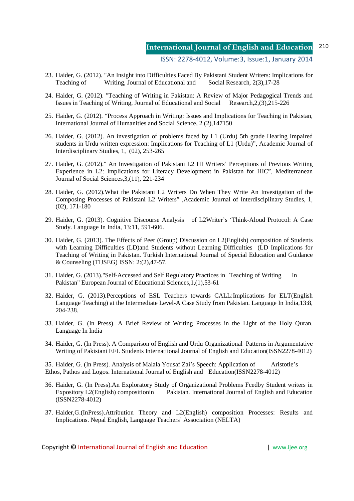ISSN: 2278-4012, Volume:3, Issue:1, January 2014

- 23. Haider, G. (2012). "An Insight into Difficulties Faced By Pakistani Student Writers: Implications for<br>Teaching of Writing, Journal of Educational and Social Research, 2(3).17-28 Teaching of Writing, Journal of Educational and
- 24. Haider, G. (2012). "Teaching of Writing in Pakistan: A Review of Major Pedagogical Trends and Issues in Teaching of Writing, Journal of Educational and Social Research,2,(3),215-226
- 25. Haider, G. (2012). "Process Approach in Writing: Issues and Implications for Teaching in Pakistan, International Journal of Humanities and Social Science, 2 (2),147150
- 26. Haider, G. (2012). An investigation of problems faced by L1 (Urdu) 5th grade Hearing Impaired students in Urdu written expression: Implications for Teaching of L1 (Urdu)", Academic Journal of Interdisciplinary Studies, 1, (02), 253-265
- 27. Haider, G. (2012)." An Investigation of Pakistani L2 HI Writers' Perceptions of Previous Writing Experience in L2: Implications for Literacy Development in Pakistan for HIC", Mediterranean Journal of Social Sciences,3,(11), 221-234
- 28. Haider, G. (2012).What the Pakistani L2 Writers Do When They Write An Investigation of the Composing Processes of Pakistani L2 Writers" ,Academic Journal of Interdisciplinary Studies, 1, (02), 171-180
- 29. Haider, G. (2013). Cognitive Discourse Analysis of L2Writer's 'Think-Aloud Protocol: A Case Study. Language In India, 13:11, 591-606.
- 30. Haider, G. (2013). The Effects of Peer (Group) Discussion on L2(English) composition of Students with Learning Difficulties (LD)and Students without Learning Difficulties (LD Implications for Teaching of Writing in Pakistan. Turkish International Journal of Special Education and Guidance & Counseling (TIJSEG) ISSN: 2:(2),47-57.
- 31. Haider, G. (2013)."Self-Accessed and Self Regulatory Practices in Teaching of Writing In Pakistan" European Journal of Educational Sciences,1,(1),53-61
- 32. Haider, G. (2013).Perceptions of ESL Teachers towards CALL:Implications for ELT(English Language Teaching) at the Intermediate Level-A Case Study from Pakistan. Language In India,13:8, 204-238.
- 33. Haider, G. (In Press). A Brief Review of Writing Processes in the Light of the Holy Quran. Language In India
- 34. Haider, G. (In Press). A Comparison of English and Urdu Organizational Patterns in Argumentative Writing of Pakistani EFL Students Internatiional Journal of English and Education(ISSN2278-4012)

35. Haider, G. (In Press). Analysis of Malala Yousaf Zai's Speech: Application of Aristotle's Ethos, Pathos and Logos. International Journal of English and Education(ISSN2278-4012)

- 36. Haider, G. (In Press).An Exploratory Study of Organizational Problems Fcedby Student writers in Expository L2(English) compositionin Pakistan. International Journal of English and Education (ISSN2278-4012)
- 37. Haider,G.(InPress).Attribution Theory and L2(English) composition Processes: Results and Implications. Nepal English, Language Teachers' Association (NELTA)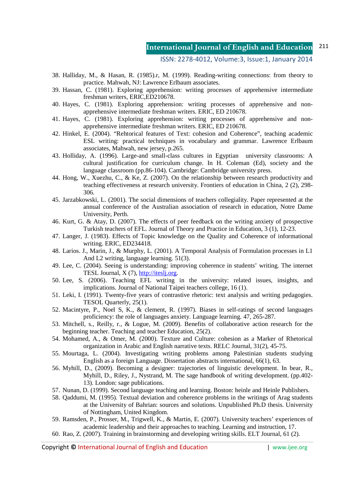ISSN: 2278-4012, Volume:3, Issue:1, January 2014

- 38. Halliday, M., & Hasan, R. (1985).r, M. (1999). Reading-writing connections: from theory to practice. Mahwah, NJ: Lawrence Erlbaum associates.
- 39. Hassan, C. (1981). Exploring apprehension: writing processes of apprehensive intermediate freshman writers, ERIC,ED210678.
- 40. Hayes, C. (1981). Exploring apprehension: writing processes of apprehensive and non apprehensive intermediate freshman writers. ERIC, ED 210678.
- 41. Hayes, C. (1981). Exploring apprehension: writing processes of apprehensive and non apprehensive intermediate freshman writers. ERIC, ED 210678.
- 42. Hinkel, E. (2004). "Rehtorical features of Text: cohesion and Coherence", teaching academic ESL writing: practical techniques in vocabulary and grammar. Lawrence Erlbaum associates, Mahwah, new jersey, p.265.
- 43. Holliday, A. (1996). Large-and small-class cultures in Egyptian university classrooms: A cultural justification for curriculum change. In H. Coleman (Ed), society and the language classroom (pp.86-104). Cambridge: Cambridge university press.
- 44. Hong, W., Xuezhu, C., & Ke, Z. (2007). On the relationship between research productivity and teaching effectiveness at research university. Frontiers of education in China, 2 (2), 298- 306.
- 45. Jarzabkowski, L. (2001). The social dimensions of teachers collegiality. Paper represented at the annual conference of the Australian association of research in education, Notre Dame University, Perth.
- 46. Kurt, G. & Atay, D. (2007). The effects of peer feedback on the writing anxiety of prospective Turkish teachers of EFL. Journal of Theory and Practice in Education, 3 (1), 12-23.
- 47. Langer, J. (1983). Effects of Topic knowledge on the Quality and Coherence of informational writing. ERIC, ED234418.
- 48. Larios. J., Marin, J., & Murphy, L. (2001). A Temporal Analysis of Formulation processes in L1 And L2 writing, language learning. 51(3).
- 49. Lee, C. (2004). Seeing is understanding: improving coherence in students' writing. The internet TESL Journal, X (7), http://iteslj.org.
- 50. Lee, S. (2006). Teaching EFL writing in the university: related issues, insights, and implications. Journal of National Taipei teachers college, 16 (1).
- 51. Leki, I. (1991). Twenty-five years of contrastive rhetoric: text analysis and writing pedagogies. TESOL Quarterly, 25(1).
- 52. Macintyre, P., Noel S, K., & clement, R. (1997). Biases in self-ratings of second languages proficiency: the role of languages anxiety. Language learning. 47, 265-287.
- 53. Mitchell, s., Reilly, r., & Logue, M. (2009). Benefits of collaborative action research for the beginning teacher. Teaching and teacher Education, 25(2).
- 54. Mohamed, A., & Omer, M. (2000). Texture and Culture: cohesion as a Marker of Rhetorical organization in Arabic and English narrative texts. RELC Journal, 31(2), 45-75.
- 55. Mourtaga, L. (2004). Investigating writing problems among Palestinian students studying English as a foreign Language. Dissertation abstracts international, 66(1), 63.
- 56. Myhill, D., (2009). Becoming a designer: trajectories of linguistic development. In bear, R., Myhill, D., Riley, J., Nystrand, M. The sage handbook of writing development. (pp.402- 13). London: sage publications.
- 57. Nunan, D. (1999). Second language teaching and learning. Boston: heinle and Heinle Publishers.
- 58. Qaddumi, M. (1995). Textual deviation and coherence problems in the writings of Arag students at the University of Bahrian: sources and solutions. Unpublished Ph.D thesis. University of Nottingham, United Kingdom.
- 59. Ramsden, P., Prosser, M., Trigwell, K., & Martin, E. (2007). University teachers' experiences of academic leadership and their approaches to teaching. Learning and instruction, 17.
- 60. Rao, Z. (2007). Training in brainstorming and developing writing skills. ELT Journal, 61 (2).